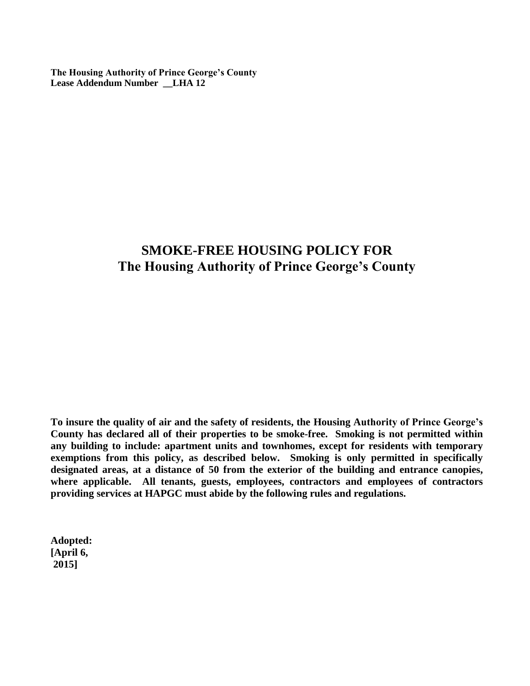**The Housing Authority of Prince George's County Lease Addendum Number \_\_LHA 12**

## **SMOKE-FREE HOUSING POLICY FOR The Housing Authority of Prince George's County**

**To insure the quality of air and the safety of residents, the Housing Authority of Prince George's County has declared all of their properties to be smoke-free. Smoking is not permitted within any building to include: apartment units and townhomes, except for residents with temporary exemptions from this policy, as described below. Smoking is only permitted in specifically designated areas, at a distance of 50 from the exterior of the building and entrance canopies, where applicable. All tenants, guests, employees, contractors and employees of contractors providing services at HAPGC must abide by the following rules and regulations.**

**Adopted: [April 6, 2015]**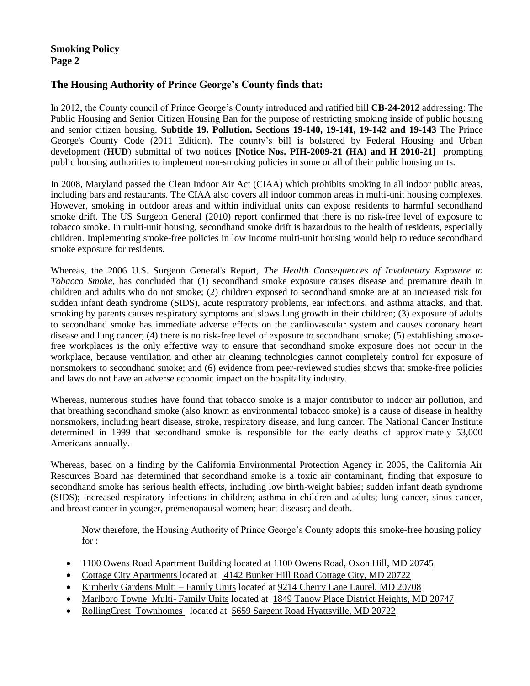## **Smoking Policy Page 2**

### **The Housing Authority of Prince George's County finds that:**

In 2012, the County council of Prince George's County introduced and ratified bill **CB-24-2012** addressing: The Public Housing and Senior Citizen Housing Ban for the purpose of restricting smoking inside of public housing and senior citizen housing. **Subtitle 19. Pollution. Sections 19-140, 19-141, 19-142 and 19-143** The Prince George's County Code (2011 Edition). The county's bill is bolstered by Federal Housing and Urban development (**HUD**) submittal of two notices **[Notice Nos. PIH-2009-21 (HA) and H 2010-21]** prompting public housing authorities to implement non-smoking policies in some or all of their public housing units.

In 2008, Maryland passed the Clean Indoor Air Act (CIAA) which prohibits smoking in all indoor public areas, including bars and restaurants. The CIAA also covers all indoor common areas in multi-unit housing complexes. However, smoking in outdoor areas and within individual units can expose residents to harmful secondhand smoke drift. [The US Surgeon General \(2010\) report](http://www.surgeongeneral.gov/library/reports/tobaccosmoke/index.html) confirmed that there is no risk-free level of exposure to tobacco smoke. In multi-unit housing, secondhand smoke drift is hazardous to the health of residents, especially children. Implementing smoke-free policies in low income multi-unit housing would help to reduce secondhand smoke exposure for residents.

Whereas, the 2006 U.S. Surgeon General's Report, *The Health Consequences of Involuntary Exposure to Tobacco Smoke*, has concluded that (1) secondhand smoke exposure causes disease and premature death in children and adults who do not smoke; (2) children exposed to secondhand smoke are at an increased risk for sudden infant death syndrome (SIDS), acute respiratory problems, ear infections, and asthma attacks, and that. smoking by parents causes respiratory symptoms and slows lung growth in their children; (3) exposure of adults to secondhand smoke has immediate adverse effects on the cardiovascular system and causes coronary heart disease and lung cancer; (4) there is no risk-free level of exposure to secondhand smoke; (5) establishing smokefree workplaces is the only effective way to ensure that secondhand smoke exposure does not occur in the workplace, because ventilation and other air cleaning technologies cannot completely control for exposure of nonsmokers to secondhand smoke; and (6) evidence from peer-reviewed studies shows that smoke-free policies and laws do not have an adverse economic impact on the hospitality industry.

Whereas, numerous studies have found that tobacco smoke is a major contributor to indoor air pollution, and that breathing secondhand smoke (also known as environmental tobacco smoke) is a cause of disease in healthy nonsmokers, including heart disease, stroke, respiratory disease, and lung cancer. The National Cancer Institute determined in 1999 that secondhand smoke is responsible for the early deaths of approximately 53,000 Americans annually.

Whereas, based on a finding by the California Environmental Protection Agency in 2005, the California Air Resources Board has determined that secondhand smoke is a toxic air contaminant, finding that exposure to secondhand smoke has serious health effects, including low birth-weight babies; sudden infant death syndrome (SIDS); increased respiratory infections in children; asthma in children and adults; lung cancer, sinus cancer, and breast cancer in younger, premenopausal women; heart disease; and death.

Now therefore, the Housing Authority of Prince George's County adopts this smoke-free housing policy for :

- 1100 Owens Road Apartment Building located at 1100 Owens Road, Oxon Hill, MD 20745
- Cottage City Apartments located at4142 Bunker Hill Road Cottage City, MD 20722
- Kimberly Gardens Multi Family Units located at 9214 Cherry Lane Laurel, MD 20708
- Marlboro Towne Multi- Family Units located at 1849 Tanow Place District Heights, MD 20747
- RollingCrest Townhomes located at 5659 Sargent Road Hyattsville, MD 20722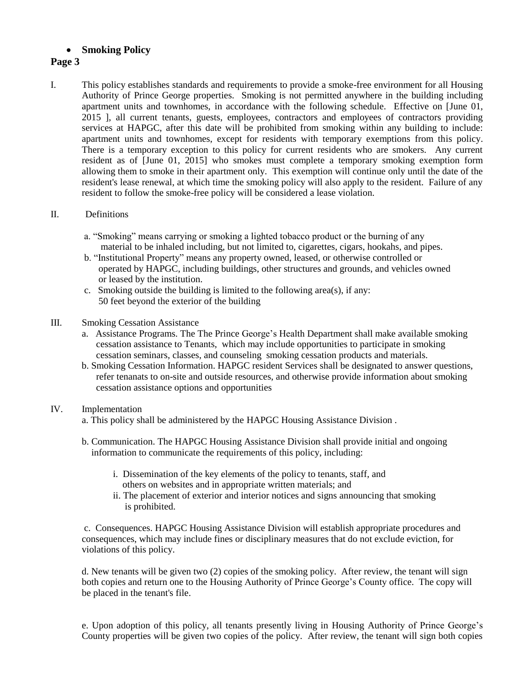## **Smoking Policy**

#### **Page 3**

I. This policy establishes standards and requirements to provide a smoke-free environment for all Housing Authority of Prince George properties. Smoking is not permitted anywhere in the building including apartment units and townhomes, in accordance with the following schedule. Effective on [June 01, 2015 ], all current tenants, guests, employees, contractors and employees of contractors providing services at HAPGC, after this date will be prohibited from smoking within any building to include: apartment units and townhomes, except for residents with temporary exemptions from this policy. There is a temporary exception to this policy for current residents who are smokers. Any current resident as of [June 01, 2015] who smokes must complete a temporary smoking exemption form allowing them to smoke in their apartment only. This exemption will continue only until the date of the resident's lease renewal, at which time the smoking policy will also apply to the resident. Failure of any resident to follow the smoke-free policy will be considered a lease violation.

#### II. Definitions

- a. "Smoking" means carrying or smoking a lighted tobacco product or the burning of any material to be inhaled including, but not limited to, cigarettes, cigars, hookahs, and pipes.
- b. "Institutional Property" means any property owned, leased, or otherwise controlled or operated by HAPGC, including buildings, other structures and grounds, and vehicles owned or leased by the institution.
- c. Smoking outside the building is limited to the following area(s), if any: 50 feet beyond the exterior of the building
- III. Smoking Cessation Assistance
	- a. Assistance Programs. The The Prince George's Health Department shall make available smoking cessation assistance to Tenants, which may include opportunities to participate in smoking cessation seminars, classes, and counseling smoking cessation products and materials.
	- b. Smoking Cessation Information. HAPGC resident Services shall be designated to answer questions, refer tenanats to on-site and outside resources, and otherwise provide information about smoking cessation assistance options and opportunities

#### IV. Implementation

- a. This policy shall be administered by the HAPGC Housing Assistance Division .
- b. Communication. The HAPGC Housing Assistance Division shall provide initial and ongoing information to communicate the requirements of this policy, including:
	- i. Dissemination of the key elements of the policy to tenants, staff, and others on websites and in appropriate written materials; and
	- ii. The placement of exterior and interior notices and signs announcing that smoking is prohibited.

 c. Consequences. HAPGC Housing Assistance Division will establish appropriate procedures and consequences, which may include fines or disciplinary measures that do not exclude eviction, for violations of this policy.

 d. New tenants will be given two (2) copies of the smoking policy. After review, the tenant will sign both copies and return one to the Housing Authority of Prince George's County office. The copy will be placed in the tenant's file.

e. Upon adoption of this policy, all tenants presently living in Housing Authority of Prince George's County properties will be given two copies of the policy. After review, the tenant will sign both copies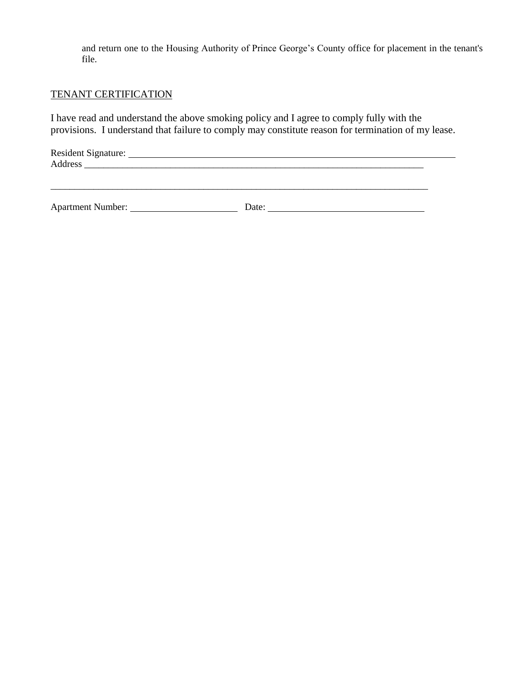and return one to the Housing Authority of Prince George's County office for placement in the tenant's file.

\_\_\_\_\_\_\_\_\_\_\_\_\_\_\_\_\_\_\_\_\_\_\_\_\_\_\_\_\_\_\_\_\_\_\_\_\_\_\_\_\_\_\_\_\_\_\_\_\_\_\_\_\_\_\_\_\_\_\_\_\_\_\_\_\_\_\_\_\_\_\_\_\_\_\_\_\_\_\_

## TENANT CERTIFICATION

I have read and understand the above smoking policy and I agree to comply fully with the provisions. I understand that failure to comply may constitute reason for termination of my lease.

| Address | <b>Resident Signature:</b> |  |  |
|---------|----------------------------|--|--|
|         |                            |  |  |

Apartment Number: Date: